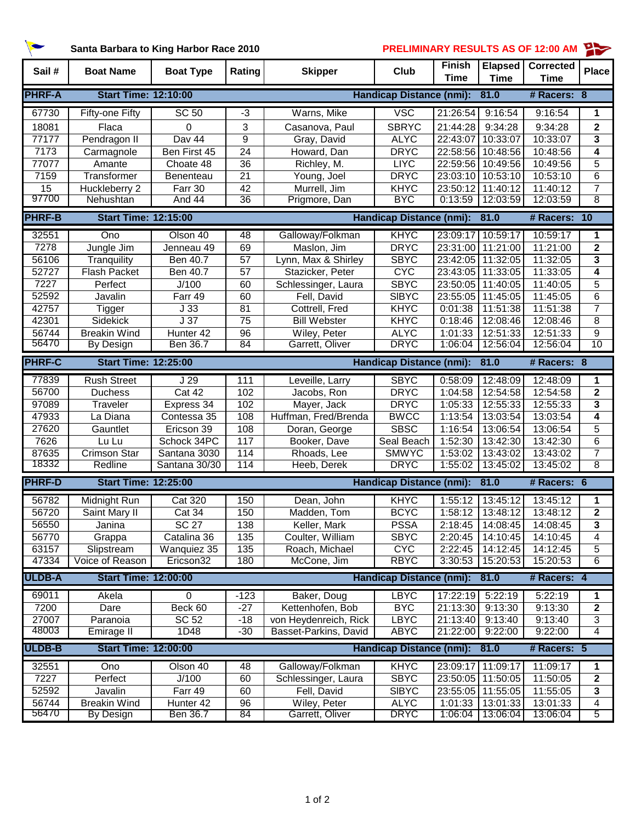**Santa Barbara to King Harbor Race 2010 PRELIMINARY RESULTS AS OF 12:00 AM**

| Sail#         | <b>Boat Name</b>            | <b>Boat Type</b> | Rating          | <b>Skipper</b>                  | Club                            | <b>Finish</b> | <b>Elapsed</b>    | <b>Corrected</b> | <b>Place</b>            |
|---------------|-----------------------------|------------------|-----------------|---------------------------------|---------------------------------|---------------|-------------------|------------------|-------------------------|
|               |                             |                  |                 |                                 |                                 | <b>Time</b>   | <b>Time</b>       | <b>Time</b>      |                         |
| <b>PHRF-A</b> | <b>Start Time: 12:10:00</b> |                  |                 |                                 | <b>Handicap Distance (nmi):</b> |               | 81.0              | # Racers: 8      |                         |
| 67730         | Fifty-one Fifty             | SC <sub>50</sub> | $-3$            | Warns, Mike                     | <b>VSC</b>                      | 21:26:54      | 9:16:54           | 9:16:54          | 1                       |
| 18081         | Flaca                       | 0                | 3               | Casanova, Paul                  | <b>SBRYC</b>                    | 21:44:28      | 9:34:28           | 9:34:28          | $\mathbf{2}$            |
| 77177         | Pendragon II                | Dav 44           | 9               | Gray, David                     | <b>ALYC</b>                     | 22:43:07      | 10:33:07          | 10:33:07         | 3                       |
| 7173          | Carmagnole                  | Ben First 45     | 24              | Howard, Dan                     | <b>DRYC</b>                     | 22:58:56      | 10:48:56          | 10:48:56         | 4                       |
| 77077         | Amante                      | Choate 48        | 36              | Richley, M.                     | <b>LIYC</b>                     |               | 22:59:56 10:49:56 | 10:49:56         | 5                       |
| 7159          | Transformer                 | Benenteau        | 21              | Young, Joel                     | <b>DRYC</b>                     |               | 23:03:10 10:53:10 | 10:53:10         | 6                       |
| 15            | Huckleberry 2               | Farr 30          | 42              | Murrell, Jim                    | <b>KHYC</b>                     |               | 23:50:12 11:40:12 | 11:40:12         | $\overline{7}$          |
| 97700         | Nehushtan                   | And 44           | 36              | Prigmore, Dan                   | <b>BYC</b>                      | 0:13:59       | 12:03:59          | 12:03:59         | 8                       |
| <b>PHRF-B</b> | <b>Start Time: 12:15:00</b> |                  |                 | <b>Handicap Distance (nmi):</b> |                                 |               | 81.0              | # Racers:        | $\overline{10}$         |
| 32551         | Ono                         | Olson 40         | 48              | Galloway/Folkman                | KHYC                            | 23:09:17      | 10:59:17          | 10:59:17         | 1                       |
| 7278          | Jungle Jim                  | Jenneau 49       | 69              | Maslon, Jim                     | <b>DRYC</b>                     |               | 23:31:00 11:21:00 | 11:21:00         | $\mathbf{2}$            |
| 56106         | Tranquility                 | Ben 40.7         | 57              | Lynn, Max & Shirley             | <b>SBYC</b>                     |               | 23:42:05 11:32:05 | 11:32:05         | 3                       |
| 52727         | <b>Flash Packet</b>         | Ben 40.7         | 57              | Stazicker, Peter                | <b>CYC</b>                      |               | 23:43:05 11:33:05 | 11:33:05         | 4                       |
| 7227          | Perfect                     | J/100            | 60              | Schlessinger, Laura             | <b>SBYC</b>                     | 23:50:05      | 11:40:05          | 11:40:05         | 5                       |
| 52592         | Javalin                     | Farr 49          | 60              | Fell, David                     | <b>SIBYC</b>                    | 23:55:05      | 11:45:05          | 11:45:05         | 6                       |
| 42757         | <b>Tigger</b>               | $\overline{J}33$ | 81              | Cottrell, Fred                  | <b>KHYC</b>                     | 0:01:38       | 11:51:38          | 11:51:38         | 7                       |
| 42301         | Sidekick                    | J <sub>37</sub>  | 75              | <b>Bill Webster</b>             | <b>KHYC</b>                     | 0:18:46       | 12:08:46          | 12:08:46         | 8                       |
| 56744         | <b>Breakin Wind</b>         | Hunter 42        | 96              | Wiley, Peter                    | <b>ALYC</b>                     | 1:01:33       | 12:51:33          | 12:51:33         | 9                       |
| 56470         | By Design                   | <b>Ben 36.7</b>  | $\overline{84}$ | Garrett, Oliver                 | <b>DRYC</b>                     | 1:06:04       | 12:56:04          | 12:56:04         | $\overline{10}$         |
| <b>PHRF-C</b> | <b>Start Time: 12:25:00</b> |                  |                 |                                 | <b>Handicap Distance (nmi):</b> |               | 81.0              | # Racers: 8      |                         |
| 77839         | <b>Rush Street</b>          | J <sub>29</sub>  | 111             | Leveille, Larry                 | <b>SBYC</b>                     | 0:58:09       | 12:48:09          | 12:48:09         | 1                       |
| 56700         | <b>Duchess</b>              | Cat 42           | 102             | Jacobs, Ron                     | <b>DRYC</b>                     | 1:04:58       | 12:54:58          | 12:54:58         | $\mathbf{2}$            |
| 97089         | Traveler                    | Express 34       | 102             | Mayer, Jack                     | <b>DRYC</b>                     | 1:05:33       | 12:55:33          | 12:55:33         | 3                       |
| 47933         | La Diana                    | Contessa 35      | 108             | Huffman, Fred/Brenda            | <b>BWCC</b>                     | 1:13:54       | 13:03:54          | 13:03:54         | 4                       |
| 27620         | Gauntlet                    | Ericson 39       | 108             | Doran, George                   | <b>SBSC</b>                     | 1:16:54       | 13:06:54          | 13:06:54         | 5                       |
| 7626          | Lu Lu                       | Schock 34PC      | 117             | Booker, Dave                    | Seal Beach                      | 1:52:30       | 13:42:30          | 13:42:30         | 6                       |
| 87635         | <b>Crimson Star</b>         | Santana 3030     | 114             | Rhoads, Lee                     | <b>SMWYC</b>                    | 1:53:02       | 13:43:02          | 13:43:02         | 7                       |
| 18332         | Redline                     | Santana 30/30    | 114             | Heeb, Derek                     | <b>DRYC</b>                     | 1:55:02       | 13:45:02          | 13:45:02         | 8                       |
| <b>PHRF-D</b> | <b>Start Time: 12:25:00</b> |                  |                 | <b>Handicap Distance (nmi):</b> |                                 |               | 81.0              | # Racers: 6      |                         |
| 56782         | Midnight Run                | <b>Cat 320</b>   | 150             | Dean, John                      | KHYC                            | 1:55:12       | 13:45:12          | 13:45:12         | 1                       |
| 56720         | Saint Mary II               | Cat 34           | 150             | Madden, Tom                     | <b>BCYC</b>                     | 1:58:12       | 13:48:12          | 13:48:12         | $\mathbf{2}$            |
| 56550         | Janina                      | <b>SC 27</b>     | 138             | Keller, Mark                    | <b>PSSA</b>                     |               | 2:18:45 14:08:45  | 14:08:45         | $\overline{\mathbf{3}}$ |
| 56770         | Grappa                      | Catalina 36      | 135             | Coulter, William                | <b>SBYC</b>                     | 2:20:45       | 14:10:45          | 14:10:45         | 4                       |
| 63157         | Slipstream                  | Wanquiez 35      | 135             | Roach, Michael                  | <b>CYC</b>                      | 2:22:45       | 14:12:45          | 14:12:45         | 5                       |
| 47334         | Voice of Reason             | Ericson32        | 180             | McCone, Jim                     | <b>RBYC</b>                     | 3:30:53       | 15:20:53          | 15:20:53         | 6                       |
| <b>ULDB-A</b> | <b>Start Time: 12:00:00</b> |                  |                 |                                 | <b>Handicap Distance (nmi):</b> |               | 81.0              | # Racers: 4      |                         |
| 69011         | Akela                       | 0                | $-123$          | Baker, Doug                     | <b>LBYC</b>                     | 17:22:19      | 5:22:19           | 5:22:19          | 1                       |
| 7200          | Dare                        | Beck 60          | $-27$           | Kettenhofen, Bob                | <b>BYC</b>                      | 21:13:30      | 9:13:30           | 9:13:30          | 2                       |
| 27007         | Paranoia                    | <b>SC 52</b>     | $-18$           | von Heydenreich, Rick           | <b>LBYC</b>                     | 21:13:40      | 9:13:40           | 9:13:40          | 3                       |
| 48003         | Emirage II                  | 1D48             | $-30$           | Basset-Parkins, David           | <b>ABYC</b>                     | 21:22:00      | 9:22:00           | 9:22:00          | $\overline{4}$          |
| <b>ULDB-B</b> | <b>Start Time: 12:00:00</b> |                  |                 |                                 | <b>Handicap Distance (nmi):</b> |               | 81.0              | # Racers: 5      |                         |
| 32551         | Ono                         | Olson 40         | 48              | Galloway/Folkman                | KHYC                            | 23:09:17      | 11:09:17          | 11:09:17         | 1                       |
| 7227          | Perfect                     | J/100            | 60              | Schlessinger, Laura             | <b>SBYC</b>                     | 23:50:05      | 11:50:05          | 11:50:05         | $\mathbf 2$             |
| 52592         | Javalin                     | Farr 49          | 60              | Fell, David                     | <b>SIBYC</b>                    |               | 23:55:05 11:55:05 | 11:55:05         | 3                       |
| 56744         | <b>Breakin Wind</b>         | Hunter 42        | 96              | Wiley, Peter                    | <b>ALYC</b>                     | 1:01:33       | 13:01:33          | 13:01:33         | 4                       |
| 56470         | <b>By Design</b>            | Ben 36.7         | 84              | Garrett, Oliver                 | <b>DRYC</b>                     | 1:06:04       | 13:06:04          | 13:06:04         | 5                       |